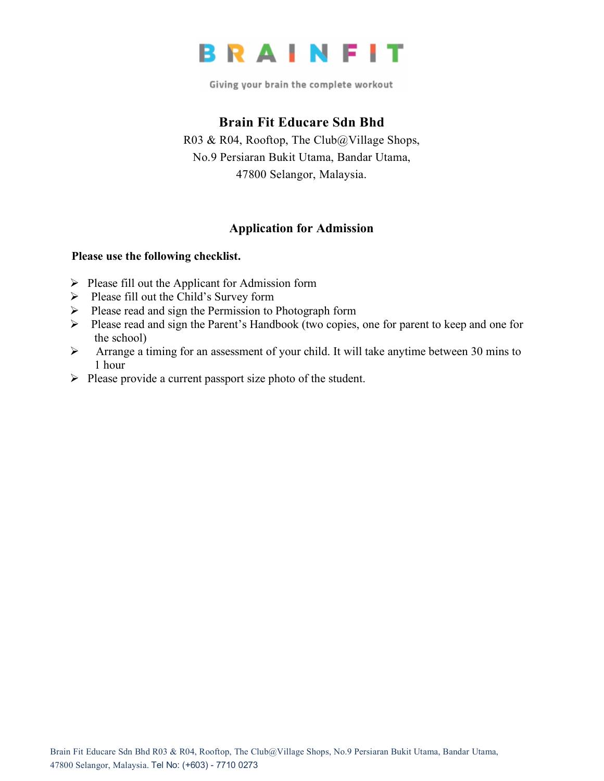

Giving your brain the complete workout

## **Brain Fit Educare Sdn Bhd**

R03 & R04, Rooftop, The Club@Village Shops, No.9 Persiaran Bukit Utama, Bandar Utama, 47800 Selangor, Malaysia.

## **Application for Admission**

## **Please use the following checklist.**

- $\triangleright$  Please fill out the Applicant for Admission form
- $\triangleright$  Please fill out the Child's Survey form
- $\triangleright$  Please read and sign the Permission to Photograph form
- Ø Please read and sign the Parent's Handbook (two copies, one for parent to keep and one for the school)
- Ø Arrange a timing for an assessment of your child. It will take anytime between 30 mins to 1 hour
- $\triangleright$  Please provide a current passport size photo of the student.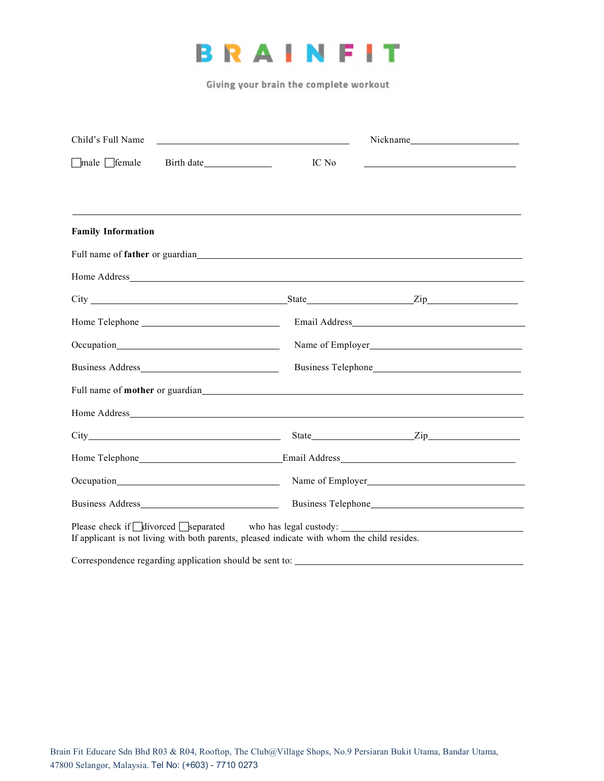

Giving your brain the complete workout

| Child's Full Name                                       |                                                                                                                                                                                                                                                                  | Nickname                                                   |  |
|---------------------------------------------------------|------------------------------------------------------------------------------------------------------------------------------------------------------------------------------------------------------------------------------------------------------------------|------------------------------------------------------------|--|
| $\Box$ male $\Box$ female                               | IC No                                                                                                                                                                                                                                                            | <u> 1989 - Johann Barn, amerikansk politiker (d. 1989)</u> |  |
|                                                         |                                                                                                                                                                                                                                                                  |                                                            |  |
| <b>Family Information</b>                               |                                                                                                                                                                                                                                                                  |                                                            |  |
|                                                         | Full name of <b>father</b> or guardian experience of <b>father</b> or guardian experience of <b>father</b> or guardian experience of <b>father</b> or guardian experience of <b>father</b> or guardian experience of <b>father</b> or <b>guardian</b> experience |                                                            |  |
|                                                         |                                                                                                                                                                                                                                                                  |                                                            |  |
|                                                         |                                                                                                                                                                                                                                                                  |                                                            |  |
|                                                         |                                                                                                                                                                                                                                                                  |                                                            |  |
|                                                         |                                                                                                                                                                                                                                                                  | Name of Employer                                           |  |
|                                                         |                                                                                                                                                                                                                                                                  |                                                            |  |
|                                                         |                                                                                                                                                                                                                                                                  |                                                            |  |
|                                                         |                                                                                                                                                                                                                                                                  |                                                            |  |
|                                                         |                                                                                                                                                                                                                                                                  |                                                            |  |
|                                                         |                                                                                                                                                                                                                                                                  |                                                            |  |
|                                                         | Name of Employer<br><u>Name</u> of Employer                                                                                                                                                                                                                      |                                                            |  |
|                                                         |                                                                                                                                                                                                                                                                  |                                                            |  |
|                                                         | If applicant is not living with both parents, pleased indicate with whom the child resides.                                                                                                                                                                      |                                                            |  |
| Correspondence regarding application should be sent to: |                                                                                                                                                                                                                                                                  |                                                            |  |